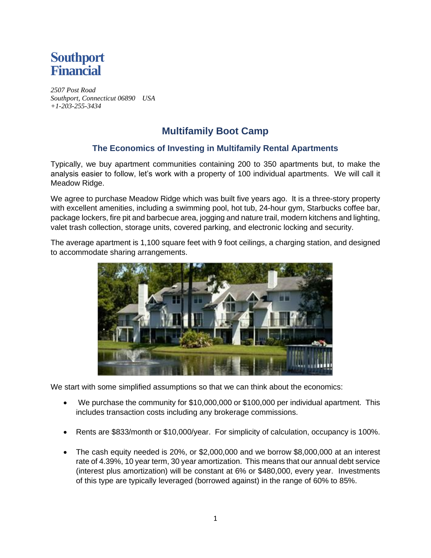

*2507 Post Road Southport, Connecticut 06890 USA +1-203-255-3434* 

## **Multifamily Boot Camp**

## **The Economics of Investing in Multifamily Rental Apartments**

Typically, we buy apartment communities containing 200 to 350 apartments but, to make the analysis easier to follow, let's work with a property of 100 individual apartments. We will call it Meadow Ridge.

We agree to purchase Meadow Ridge which was built five years ago. It is a three-story property with excellent amenities, including a swimming pool, hot tub, 24-hour gym, Starbucks coffee bar, package lockers, fire pit and barbecue area, jogging and nature trail, modern kitchens and lighting, valet trash collection, storage units, covered parking, and electronic locking and security.

The average apartment is 1,100 square feet with 9 foot ceilings, a charging station, and designed to accommodate sharing arrangements.



We start with some simplified assumptions so that we can think about the economics:

- We purchase the community for \$10,000,000 or \$100,000 per individual apartment. This includes transaction costs including any brokerage commissions.
- Rents are \$833/month or \$10,000/year. For simplicity of calculation, occupancy is 100%.
- The cash equity needed is 20%, or \$2,000,000 and we borrow \$8,000,000 at an interest rate of 4.39%, 10 year term, 30 year amortization. This means that our annual debt service (interest plus amortization) will be constant at 6% or \$480,000, every year. Investments of this type are typically leveraged (borrowed against) in the range of 60% to 85%.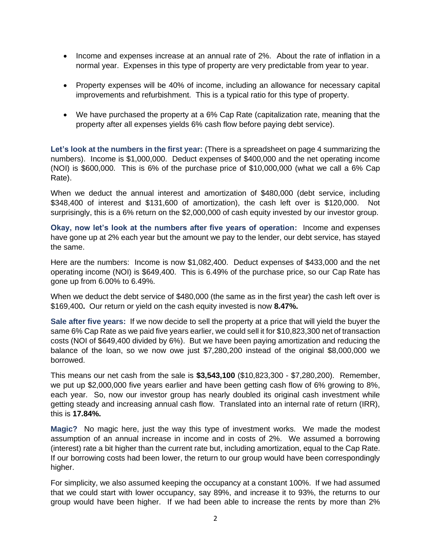- Income and expenses increase at an annual rate of 2%. About the rate of inflation in a normal year. Expenses in this type of property are very predictable from year to year.
- Property expenses will be 40% of income, including an allowance for necessary capital improvements and refurbishment. This is a typical ratio for this type of property.
- We have purchased the property at a 6% Cap Rate (capitalization rate, meaning that the property after all expenses yields 6% cash flow before paying debt service).

**Let's look at the numbers in the first year:** (There is a spreadsheet on page 4 summarizing the numbers). Income is \$1,000,000. Deduct expenses of \$400,000 and the net operating income (NOI) is \$600,000. This is 6% of the purchase price of \$10,000,000 (what we call a 6% Cap Rate).

When we deduct the annual interest and amortization of \$480,000 (debt service, including  $$348,400$  of interest and  $$131,600$  of amortization), the cash left over is  $$120,000$ . surprisingly, this is a 6% return on the \$2,000,000 of cash equity invested by our investor group.

**Okay, now let's look at the numbers after five years of operation:** Income and expenses have gone up at 2% each year but the amount we pay to the lender, our debt service, has stayed the same.

Here are the numbers: Income is now \$1,082,400. Deduct expenses of \$433,000 and the net operating income (NOI) is \$649,400. This is 6.49% of the purchase price, so our Cap Rate has gone up from 6.00% to 6.49%.

When we deduct the debt service of \$480,000 (the same as in the first year) the cash left over is \$169,400**.** Our return or yield on the cash equity invested is now **8.47%.**

**Sale after five years:** If we now decide to sell the property at a price that will yield the buyer the same 6% Cap Rate as we paid five years earlier, we could sell it for \$10,823,300 net of transaction costs (NOI of \$649,400 divided by 6%). But we have been paying amortization and reducing the balance of the loan, so we now owe just \$7,280,200 instead of the original \$8,000,000 we borrowed.

This means our net cash from the sale is **\$3,543,100** (\$10,823,300 - \$7,280,200). Remember, we put up \$2,000,000 five years earlier and have been getting cash flow of 6% growing to 8%, each year. So, now our investor group has nearly doubled its original cash investment while getting steady and increasing annual cash flow. Translated into an internal rate of return (IRR), this is **17.84%.**

**Magic?** No magic here, just the way this type of investment works. We made the modest assumption of an annual increase in income and in costs of 2%. We assumed a borrowing (interest) rate a bit higher than the current rate but, including amortization, equal to the Cap Rate. If our borrowing costs had been lower, the return to our group would have been correspondingly higher.

For simplicity, we also assumed keeping the occupancy at a constant 100%. If we had assumed that we could start with lower occupancy, say 89%, and increase it to 93%, the returns to our group would have been higher. If we had been able to increase the rents by more than 2%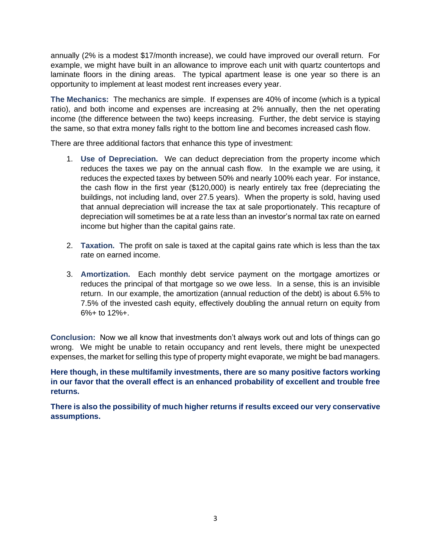annually (2% is a modest \$17/month increase), we could have improved our overall return. For example, we might have built in an allowance to improve each unit with quartz countertops and laminate floors in the dining areas. The typical apartment lease is one year so there is an opportunity to implement at least modest rent increases every year.

**The Mechanics:** The mechanics are simple. If expenses are 40% of income (which is a typical ratio), and both income and expenses are increasing at 2% annually, then the net operating income (the difference between the two) keeps increasing. Further, the debt service is staying the same, so that extra money falls right to the bottom line and becomes increased cash flow.

There are three additional factors that enhance this type of investment:

- 1. **Use of Depreciation.** We can deduct depreciation from the property income which reduces the taxes we pay on the annual cash flow. In the example we are using, it reduces the expected taxes by between 50% and nearly 100% each year. For instance, the cash flow in the first year (\$120,000) is nearly entirely tax free (depreciating the buildings, not including land, over 27.5 years). When the property is sold, having used that annual depreciation will increase the tax at sale proportionately. This recapture of depreciation will sometimes be at a rate less than an investor's normal tax rate on earned income but higher than the capital gains rate.
- 2. **Taxation.** The profit on sale is taxed at the capital gains rate which is less than the tax rate on earned income.
- 3. **Amortization.** Each monthly debt service payment on the mortgage amortizes or reduces the principal of that mortgage so we owe less. In a sense, this is an invisible return. In our example, the amortization (annual reduction of the debt) is about 6.5% to 7.5% of the invested cash equity, effectively doubling the annual return on equity from  $6\% + 10$  12\% $+$ .

**Conclusion:** Now we all know that investments don't always work out and lots of things can go wrong. We might be unable to retain occupancy and rent levels, there might be unexpected expenses, the market for selling this type of property might evaporate, we might be bad managers.

**Here though, in these multifamily investments, there are so many positive factors working in our favor that the overall effect is an enhanced probability of excellent and trouble free returns.** 

**There is also the possibility of much higher returns if results exceed our very conservative assumptions.**